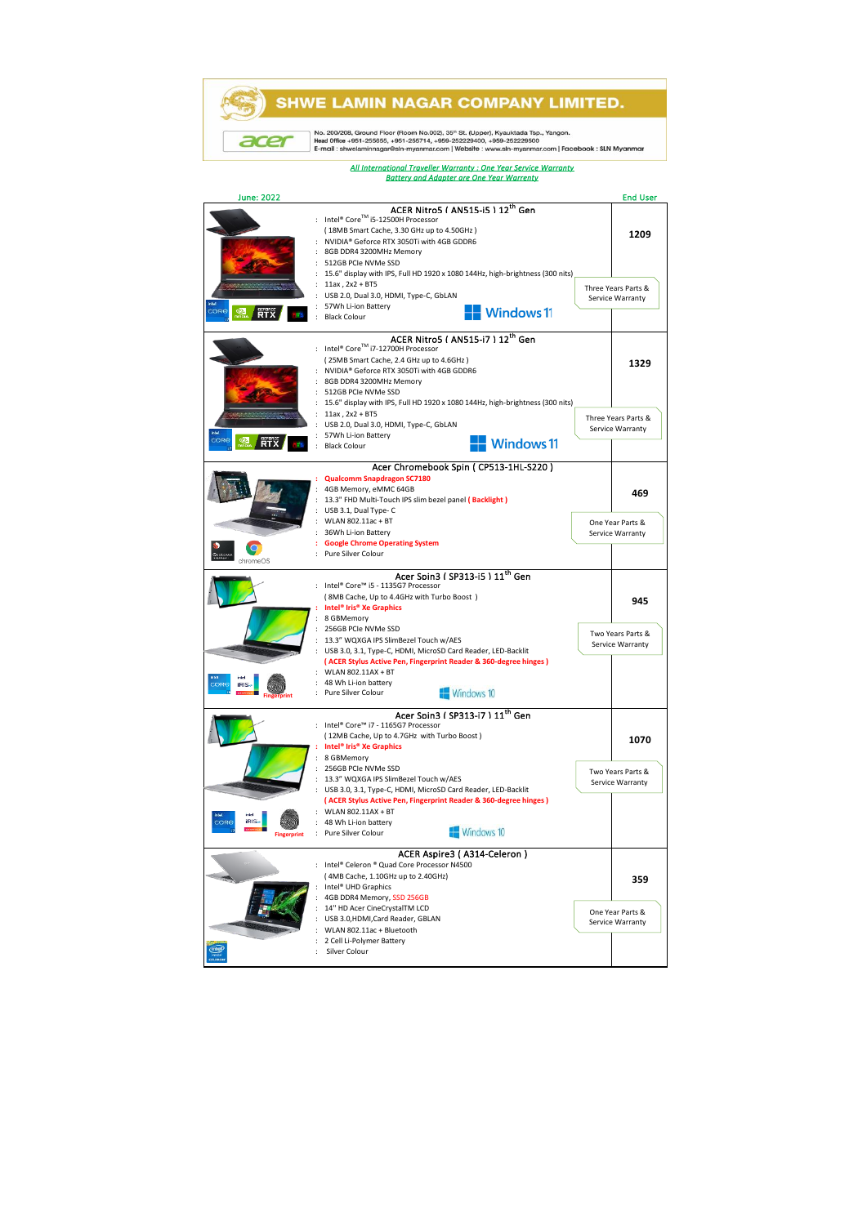## **SHWE LAMIN NAGAR COMPANY LIMITED.**

No. 200/208, Ground Floor (Room No.002), 35" St. (Upper), Kyauktada Tsp., Yangon.<br>Head Office +951-255655, +951-255714, +959-252229400, +959-252229500<br>E-mail : shwelaminnagar@sln-myanmar.com | Website : www.sin-myanmar.co

acer

*All International Traveller Warranty : One Year Service Warranty Battery and Adapter are One Year Warrenty*

## June: 2022 End User ACER Nitro5 ( AN515-i5 ) 12<sup>th</sup> Gen : Intel® CoreTM i5-12500H Processor ( 18MB Smart Cache, 3.30 GHz up to 4.50GHz ) **1209** : NVIDIA® Geforce RTX 3050Ti with 4GB GDDR6 : 8GB DDR4 3200MHz Memory : 512GB PCIe NVMe SSD : 15.6" display with IPS, Full HD 1920 x 1080 144Hz, high-brightness (300 nits)  $11a \times 2a \times 2 + B$ TE Three Years Parts & Service Warranty : USB 2.0, Dual 3.0, HDMI, Type-C, GbLAN : 57Wh Li-ion Battery **RTX**  $\blacksquare$  Windows 11 : Black Colour ACER Nitro5 ( AN515-i7 ) 12<sup>th</sup> Gen : Intel® CoreTM i7-12700H Processor ( 25MB Smart Cache, 2.4 GHz up to 4.6GHz ) **1329** : NVIDIA® Geforce RTX 3050Ti with 4GB GDDR6 : 8GB DDR4 3200MHz Memory : 512GB PCIe NVMe SSD : 15.6" display with IPS, Full HD 1920 x 1080 144Hz, high-brightness (300 nits) : 11ax , 2x2 + BT5 Three Years Parts & USB 2.0, Dual 3.0, HDMI, Type-C, GbLAN Service Warranty: 57Wh Li-ion Battery **RTX Windows 11** : Black Colour Acer Chromebook Spin ( CP513-1HL-S220 ) **Qualcomm Snap** : 4GB Memory, eMMC 64GB **469** : 13.3" FHD Multi-Touch IPS slim bezel panel **( Backlight )** USB 3.1, Dual Type- C : WLAN 802.11ac + BT One Year Parts & : 36Wh Li-ion Battery Service Warranty **: Google Chrome Operating System** : Pure Silver Colour Acer Spin3 ( SP313-i5 ) 11<sup>th</sup> Gen<br>: Intel® Core™ i5 - 1135G7 Processor ( 8MB Cache, Up to 4.4GHz with Turbo Boost ) **945 : Intel® Iris® Xe Graphics** : 8 GBMemory : 256GB PCIe NVMe SSD Two Years Parts & : 13.3" WQXGA IPS SlimBezel Touch w/AES Service Warranty : USB 3.0, 3.1, Type-C, HDMI, MicroSD Card Reader, LED-Backlit  **( ACER Stylus Active Pen, Fingerprint Reader & 360-degree hinges )** : WLAN 802.11AX + BT 48 Wh Li-ion battery Windows 10 Pure Silver Colour **Fingerprint** Acer Spin3 ( SP313-i7 ) 11<sup>th</sup> Gen<br>: Intel® Core™ i7 - 1165G7 Processor ( 12MB Cache, Up to 4.7GHz with Turbo Boost ) **1070 : Intel® Iris® Xe Graphics** : 8 GBMemory : 256GB PCIe NVMe SSD Two Years Parts & : 13.3" WQXGA IPS SlimBezel Touch w/AES Service Warranty : USB 3.0, 3.1, Type-C, HDMI, MicroSD Card Reader, LED-Backlit  **( ACER Stylus Active Pen, Fingerprint Reader & 360-degree hinges )** : WLAN 802.11AX + BT : 48 Wh Li-ion battery Windows 10 : Pure Silver Colour **Fingerprint** ACER Aspire3 ( A314-Celeron ) Intel® Celeron ® Quad Core Processor N4500 ( 4MB Cache, 1.10GHz up to 2.40GHz) **359** : Intel® UHD Graphics : 4GB DDR4 Memory, SSD 256GB : 14'' HD Acer CineCrystalTM LCD One Year Parts & : USB 3.0,HDMI,Card Reader, GBLAN Service Warranty : WLAN 802.11ac + Bluetooth : 2 Cell Li-Polymer Battery : Silver Colour